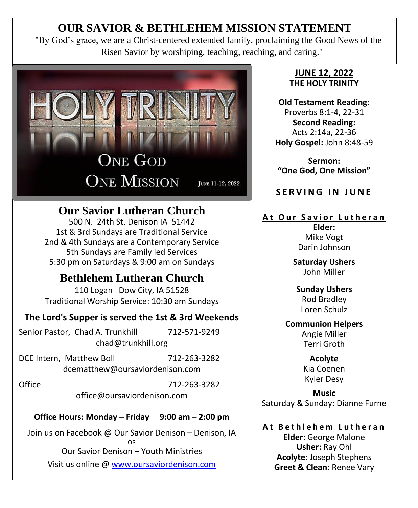# **OUR SAVIOR & BETHLEHEM MISSION STATEMENT**

"By God's grace, we are a Christ-centered extended family, proclaiming the Good News of the Risen Savior by worshiping, teaching, reaching, and caring."



# **Our Savior Lutheran Church**

500 N. 24th St. Denison IA 51442 1st & 3rd Sundays are Traditional Service 2nd & 4th Sundays are a Contemporary Service 5th Sundays are Family led Services 5:30 pm on Saturdays & 9:00 am on Sundays

# **Bethlehem Lutheran Church**

110 Logan Dow City, IA 51528 Traditional Worship Service: 10:30 am Sundays

## **The Lord's Supper is served the 1st & 3rd Weekends**

Senior Pastor, Chad A. Trunkhill 712-571-9249 chad@trunkhill.org

DCE Intern, Matthew Boll 712-263-3282 dcematthew@oursaviordenison.com

Office 712-263-3282 office@oursaviordenison.com

**Office Hours: Monday – Friday 9:00 am – 2:00 pm**

Join us on Facebook @ Our Savior Denison – Denison, IA OR Our Savior Denison – Youth Ministries Visit us online [@ www.oursaviordenison.com](http://www.oursaviordenison.com/)

#### **JUNE 12, 2022 THE HOLY TRINITY**

**Old Testament Reading:** Proverbs 8:1-4, 22-31 **Second Reading:** Acts 2:14a, 22-36 **Holy Gospel:** John 8:48-59

**Sermon: "One God, One Mission"**

**SERVING IN JUNE** 

# **A t O u r S a v i o r L u t h e r a n**

**Elder:** Mike Vogt Darin Johnson

**Saturday Ushers** John Miller

#### **Sunday Ushers** Rod Bradley Loren Schulz

#### **Communion Helpers** Angie Miller Terri Groth

**Acolyte**  Kia Coenen Kyler Desy

**Music** Saturday & Sunday: Dianne Furne

## **A t B e t h l e h e m L u t h e r a n**

**Elder**: George Malone **Usher:** Ray Ohl **Acolyte:** Joseph Stephens **Greet & Clean:** Renee Vary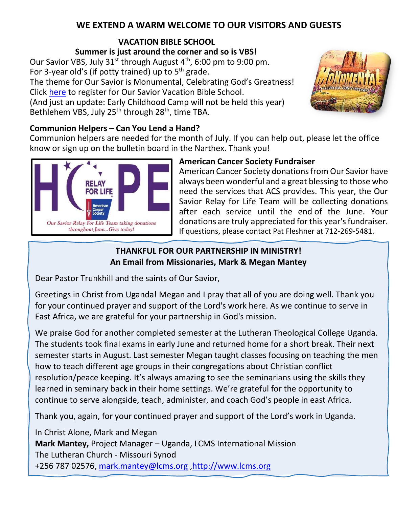## **WE EXTEND A WARM WELCOME TO OUR VISITORS AND GUESTS**

# **VACATION BIBLE SCHOOL**

**Summer is just around the corner and so is VBS!** Our Savior VBS, July  $31^{st}$  through August  $4^{th}$ , 6:00 pm to 9:00 pm. For 3-year old's (if potty trained) up to  $5<sup>th</sup>$  grade. The theme for Our Savior is Monumental, Celebrating God's Greatness! Click [here](https://nam12.safelinks.protection.outlook.com/?url=https%3A%2F%2Fdocs.google.com%2Fforms%2Fd%2F1CvCv9tDQSHF178M7q8eXdJdMVaU7PAXChUMEhDKvo5k%2Fedit&data=05%7C01%7C%7C462d9ed03f2c405130ef08da48a1dc9e%7C84df9e7fe9f640afb435aaaaaaaaaaaa%7C1%7C0%7C637902157269635366%7CUnknown%7CTWFpbGZsb3d8eyJWIjoiMC4wLjAwMDAiLCJQIjoiV2luMzIiLCJBTiI6Ik1haWwiLCJXVCI6Mn0%3D%7C3000%7C%7C%7C&sdata=pylJTBxFTX5voC5o1eq7%2FBY4mivGKDc4iMY7y7r5rVM%3D&reserved=0) to register for Our Savior Vacation Bible School. (And just an update: Early Childhood Camp will not be held this year) Bethlehem VBS, July 25<sup>th</sup> through 28<sup>th</sup>, time TBA.



## **Communion Helpers – Can You Lend a Hand?**

Communion helpers are needed for the month of July. If you can help out, please let the office know or sign up on the bulletin board in the Narthex. Thank you!



#### **American Cancer Society Fundraiser**

American Cancer Society donations from Our Savior have always been wonderful and a great blessing to those who need the services that ACS provides. This year, the Our Savior Relay for Life Team will be collecting donations after each service until the end of the June. Your donations are truly appreciated for this year's fundraiser. If questions, please contact Pat Fleshner at 712-269-5481.

## **THANKFUL FOR OUR PARTNERSHIP IN MINISTRY! An Email from Missionaries, Mark & Megan Mantey**

Dear Pastor Trunkhill and the saints of Our Savior,

Greetings in Christ from Uganda! Megan and I pray that all of you are doing well. Thank you for your continued prayer and support of the Lord's work here. As we continue to serve in East Africa, we are grateful for your partnership in God's mission.

We praise God for another completed semester at the Lutheran Theological College Uganda. The students took final exams in early June and returned home for a short break. Their next semester starts in August. Last semester Megan taught classes focusing on teaching the men how to teach different age groups in their congregations about Christian conflict resolution/peace keeping. It's always amazing to see the seminarians using the skills they learned in seminary back in their home settings. We're grateful for the opportunity to continue to serve alongside, teach, administer, and coach God's people in east Africa.

Thank you, again, for your continued prayer and support of the Lord's work in Uganda.

In Christ Alone, Mark and Megan **Mark Mantey,** Project Manager – Uganda, LCMS International Mission The Lutheran Church - Missouri Synod +256 787 02576, [mark.mantey@lcms.org](mailto:mark.mantey@lcms.org) [,http://www.lcms.org](http://www.lcms.org/)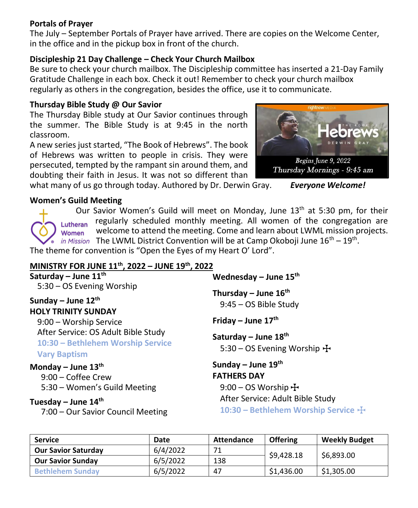#### **Portals of Prayer**

The July – September Portals of Prayer have arrived. There are copies on the Welcome Center, in the office and in the pickup box in front of the church.

#### **Discipleship 21 Day Challenge – Check Your Church Mailbox**

Be sure to check your church mailbox. The Discipleship committee has inserted a 21-Day Family Gratitude Challenge in each box. Check it out! Remember to check your church mailbox regularly as others in the congregation, besides the office, use it to communicate.

#### **Thursday Bible Study @ Our Savior**

The Thursday Bible study at Our Savior continues through the summer. The Bible Study is at 9:45 in the north classroom.

A new series just started, "The Book of Hebrews". The book of Hebrews was written to people in crisis. They were persecuted, tempted by the rampant sin around them, and doubting their faith in Jesus. It was not so different than

what many of us go through today. Authored by Dr. Derwin Gray. *Everyone Welcome!*

#### **Women's Guild Meeting**

Our Savior Women's Guild will meet on Monday, June  $13<sup>th</sup>$  at 5:30 pm, for their regularly scheduled monthly meeting. All women of the congregation are Lutheran welcome to attend the meeting. Come and learn about LWML mission projects. Women The LWML District Convention will be at Camp Okoboji June  $16^{th} - 19^{th}$ .

The theme for convention is "Open the Eyes of my Heart O' Lord".

## **MINISTRY FOR JUNE 11th , 2022 – JUNE 19th, 2022**

| Saturday – June $11^{th}$                                                                       | Wednesday – June $15th$<br>Thursday – June $16th$<br>9:45 - OS Bible Study<br>Friday – June $17th$<br>Saturday – June $18th$<br>5:30 – OS Evening Worship $\bigoplus$ |  |  |
|-------------------------------------------------------------------------------------------------|-----------------------------------------------------------------------------------------------------------------------------------------------------------------------|--|--|
| 5:30 - OS Evening Worship<br>Sunday – June $12^{th}$<br><b>HOLY TRINITY SUNDAY</b>              |                                                                                                                                                                       |  |  |
| 9:00 - Worship Service                                                                          |                                                                                                                                                                       |  |  |
| After Service: OS Adult Bible Study<br>10:30 - Bethlehem Worship Service<br><b>Vary Baptism</b> |                                                                                                                                                                       |  |  |
| Monday – June $13th$<br>9:00 - Coffee Crew<br>5:30 - Women's Guild Meeting                      | Sunday – June $19th$<br><b>FATHERS DAY</b><br>$9:00 - OS$ Worship $\pm$                                                                                               |  |  |
| Tuesday – June $14th$<br>7:00 - Our Savior Council Meeting                                      | After Service: Adult Bible Study<br>10:30 - Bethlehem Worship Service +                                                                                               |  |  |

| <b>Service</b>             | Date     | Attendance | <b>Offering</b> | <b>Weekly Budget</b> |
|----------------------------|----------|------------|-----------------|----------------------|
| <b>Our Savior Saturday</b> | 6/4/2022 | 71         | \$9,428.18      | \$6,893.00           |
| <b>Our Savior Sunday</b>   | 6/5/2022 | 138        |                 |                      |
| <b>Bethlehem Sunday</b>    | 6/5/2022 | 47         | \$1.436.00      | \$1,305.00           |